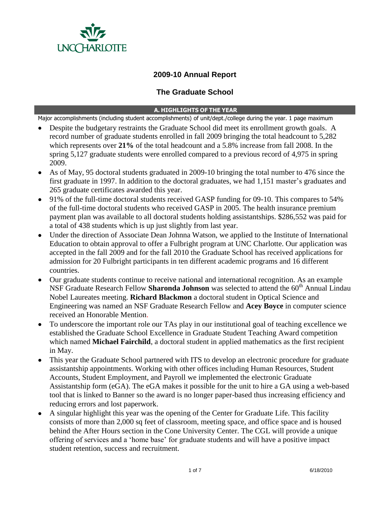

# **2009-10 Annual Report**

## **The Graduate School**

#### **A. HIGHLIGHTS OF THE YEAR**

Major accomplishments (including student accomplishments) of unit/dept./college during the year. 1 page maximum

- Despite the budgetary restraints the Graduate School did meet its enrollment growth goals. A record number of graduate students enrolled in fall 2009 bringing the total headcount to 5,282 which represents over **21%** of the total headcount and a 5.8% increase from fall 2008. In the spring 5,127 graduate students were enrolled compared to a previous record of 4,975 in spring 2009.
- As of May, 95 doctoral students graduated in 2009-10 bringing the total number to 476 since the first graduate in 1997. In addition to the doctoral graduates, we had 1,151 master's graduates and 265 graduate certificates awarded this year.
- 91% of the full-time doctoral students received GASP funding for 09-10. This compares to 54% of the full-time doctoral students who received GASP in 2005. The health insurance premium payment plan was available to all doctoral students holding assistantships. \$286,552 was paid for a total of 438 students which is up just slightly from last year.
- Under the direction of Associate Dean Johnna Watson, we applied to the Institute of International Education to obtain approval to offer a Fulbright program at UNC Charlotte. Our application was accepted in the fall 2009 and for the fall 2010 the Graduate School has received applications for admission for 20 Fulbright participants in ten different academic programs and 16 different countries.
- Our graduate students continue to receive national and international recognition. As an example NSF Graduate Research Fellow Sharonda Johnson was selected to attend the 60<sup>th</sup> Annual Lindau Nobel Laureates meeting. **Richard Blackmon** a doctoral student in Optical Science and Engineering was named an NSF Graduate Research Fellow and **Acey Boyce** in computer science received an Honorable Mention.
- To underscore the important role our TAs play in our institutional goal of teaching excellence we established the Graduate School Excellence in Graduate Student Teaching Award competition which named **Michael Fairchild**, a doctoral student in applied mathematics as the first recipient in May.
- This year the Graduate School partnered with ITS to develop an electronic procedure for graduate assistantship appointments. Working with other offices including Human Resources, Student Accounts, Student Employment, and Payroll we implemented the electronic Graduate Assistantship form (eGA). The eGA makes it possible for the unit to hire a GA using a web-based tool that is linked to Banner so the award is no longer paper-based thus increasing efficiency and reducing errors and lost paperwork.
- A singular highlight this year was the opening of the Center for Graduate Life. This facility consists of more than 2,000 sq feet of classroom, meeting space, and office space and is housed behind the After Hours section in the Cone University Center. The CGL will provide a unique offering of services and a "home base" for graduate students and will have a positive impact student retention, success and recruitment.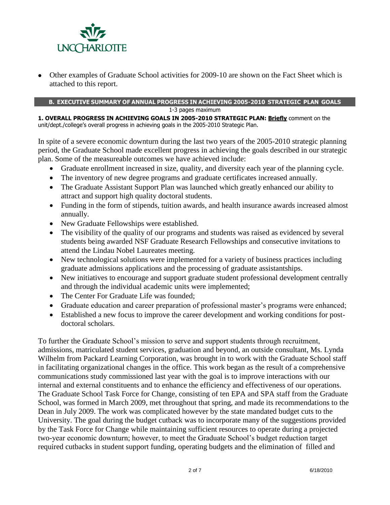

 Other examples of Graduate School activities for 2009-10 are shown on the Fact Sheet which is attached to this report.

### **B. EXECUTIVE SUMMARY OF ANNUAL PROGRESS IN ACHIEVING 2005-2010 STRATEGIC PLAN GOALS**

1-3 pages maximum

**1. OVERALL PROGRESS IN ACHIEVING GOALS IN 2005-2010 STRATEGIC PLAN: Briefly** comment on the unit/dept./college's overall progress in achieving goals in the 2005-2010 Strategic Plan.

In spite of a severe economic downturn during the last two years of the 2005-2010 strategic planning period, the Graduate School made excellent progress in achieving the goals described in our strategic plan. Some of the measureable outcomes we have achieved include:

- Graduate enrollment increased in size, quality, and diversity each year of the planning cycle.
- The inventory of new degree programs and graduate certificates increased annually.
- The Graduate Assistant Support Plan was launched which greatly enhanced our ability to attract and support high quality doctoral students.
- Funding in the form of stipends, tuition awards, and health insurance awards increased almost annually.
- New Graduate Fellowships were established.
- The visibility of the quality of our programs and students was raised as evidenced by several students being awarded NSF Graduate Research Fellowships and consecutive invitations to attend the Lindau Nobel Laureates meeting.
- New technological solutions were implemented for a variety of business practices including graduate admissions applications and the processing of graduate assistantships.
- New initiatives to encourage and support graduate student professional development centrally and through the individual academic units were implemented;
- The Center For Graduate Life was founded:
- Graduate education and career preparation of professional master's programs were enhanced;
- Established a new focus to improve the career development and working conditions for postdoctoral scholars.

To further the Graduate School"s mission to serve and support students through recruitment, admissions, matriculated student services, graduation and beyond, an outside consultant, Ms. Lynda Wilhelm from Packard Learning Corporation, was brought in to work with the Graduate School staff in facilitating organizational changes in the office. This work began as the result of a comprehensive communications study commissioned last year with the goal is to improve interactions with our internal and external constituents and to enhance the efficiency and effectiveness of our operations. The Graduate School Task Force for Change, consisting of ten EPA and SPA staff from the Graduate School, was formed in March 2009, met throughout that spring, and made its recommendations to the Dean in July 2009. The work was complicated however by the state mandated budget cuts to the University. The goal during the budget cutback was to incorporate many of the suggestions provided by the Task Force for Change while maintaining sufficient resources to operate during a projected two-year economic downturn; however, to meet the Graduate School"s budget reduction target required cutbacks in student support funding, operating budgets and the elimination of filled and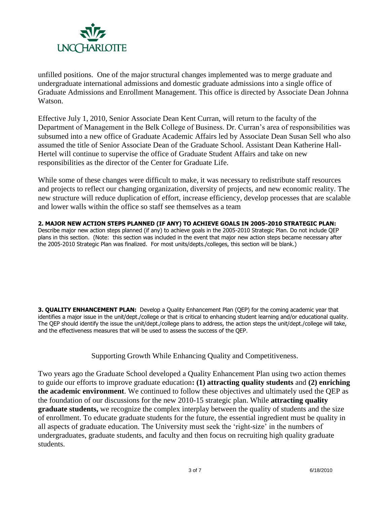

unfilled positions. One of the major structural changes implemented was to merge graduate and undergraduate international admissions and domestic graduate admissions into a single office of Graduate Admissions and Enrollment Management. This office is directed by Associate Dean Johnna Watson.

Effective July 1, 2010, Senior Associate Dean Kent Curran, will return to the faculty of the Department of Management in the Belk College of Business. Dr. Curran"s area of responsibilities was subsumed into a new office of Graduate Academic Affairs led by Associate Dean Susan Sell who also assumed the title of Senior Associate Dean of the Graduate School. Assistant Dean Katherine Hall-Hertel will continue to supervise the office of Graduate Student Affairs and take on new responsibilities as the director of the Center for Graduate Life.

While some of these changes were difficult to make, it was necessary to redistribute staff resources and projects to reflect our changing organization, diversity of projects, and new economic reality. The new structure will reduce duplication of effort, increase efficiency, develop processes that are scalable and lower walls within the office so staff see themselves as a team

**2. MAJOR NEW ACTION STEPS PLANNED (IF ANY) TO ACHIEVE GOALS IN 2005-2010 STRATEGIC PLAN:**  Describe major new action steps planned (if any) to achieve goals in the 2005-2010 Strategic Plan. Do not include QEP plans in this section. (Note: this section was included in the event that major new action steps became necessary after the 2005-2010 Strategic Plan was finalized. For most units/depts./colleges, this section will be blank.)

**3. OUALITY ENHANCEMENT PLAN:** Develop a Quality Enhancement Plan (OEP) for the coming academic year that identifies a major issue in the unit/dept./college or that is critical to enhancing student learning and/or educational quality. The QEP should identify the issue the unit/dept./college plans to address, the action steps the unit/dept./college will take, and the effectiveness measures that will be used to assess the success of the QEP.

Supporting Growth While Enhancing Quality and Competitiveness.

Two years ago the Graduate School developed a Quality Enhancement Plan using two action themes to guide our efforts to improve graduate education**: (1) attracting quality students** and **(2) enriching the academic environment**. We continued to follow these objectives and ultimately used the QEP as the foundation of our discussions for the new 2010-15 strategic plan. While **attracting quality graduate students,** we recognize the complex interplay between the quality of students and the size of enrollment. To educate graduate students for the future, the essential ingredient must be quality in all aspects of graduate education. The University must seek the "right-size" in the numbers of undergraduates, graduate students, and faculty and then focus on recruiting high quality graduate students.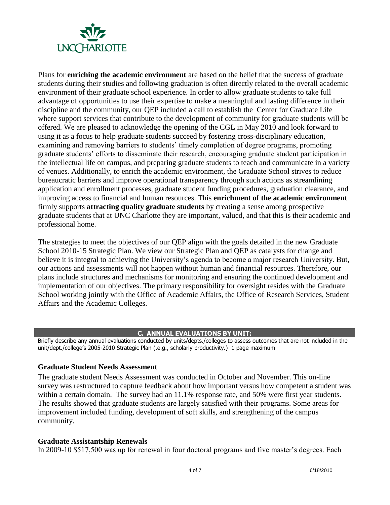

Plans for **enriching the academic environment** are based on the belief that the success of graduate students during their studies and following graduation is often directly related to the overall academic environment of their graduate school experience. In order to allow graduate students to take full advantage of opportunities to use their expertise to make a meaningful and lasting difference in their discipline and the community, our QEP included a call to establish the Center for Graduate Life where support services that contribute to the development of community for graduate students will be offered. We are pleased to acknowledge the opening of the CGL in May 2010 and look forward to using it as a focus to help graduate students succeed by fostering cross-disciplinary education, examining and removing barriers to students' timely completion of degree programs, promoting graduate students" efforts to disseminate their research, encouraging graduate student participation in the intellectual life on campus, and preparing graduate students to teach and communicate in a variety of venues. Additionally, to enrich the academic environment, the Graduate School strives to reduce bureaucratic barriers and improve operational transparency through such actions as streamlining application and enrollment processes, graduate student funding procedures, graduation clearance, and improving access to financial and human resources. This **enrichment of the academic environment** firmly supports **attracting quality graduate students** by creating a sense among prospective graduate students that at UNC Charlotte they are important, valued, and that this is their academic and professional home.

The strategies to meet the objectives of our QEP align with the goals detailed in the new Graduate School 2010-15 Strategic Plan. We view our Strategic Plan and QEP as catalysts for change and believe it is integral to achieving the University's agenda to become a major research University. But, our actions and assessments will not happen without human and financial resources. Therefore, our plans include structures and mechanisms for monitoring and ensuring the continued development and implementation of our objectives. The primary responsibility for oversight resides with the Graduate School working jointly with the Office of Academic Affairs, the Office of Research Services, Student Affairs and the Academic Colleges.

### **C. ANNUAL EVALUATIONS BY UNIT:**

Briefly describe any annual evaluations conducted by units/depts./colleges to assess outcomes that are not included in the unit/dept./college's 2005-2010 Strategic Plan (.e.g., scholarly productivity.) 1 page maximum

### **Graduate Student Needs Assessment**

The graduate student Needs Assessment was conducted in October and November. This on-line survey was restructured to capture feedback about how important versus how competent a student was within a certain domain. The survey had an 11.1% response rate, and 50% were first year students. The results showed that graduate students are largely satisfied with their programs. Some areas for improvement included funding, development of soft skills, and strengthening of the campus community.

#### **Graduate Assistantship Renewals**

In 2009-10 \$517,500 was up for renewal in four doctoral programs and five master's degrees. Each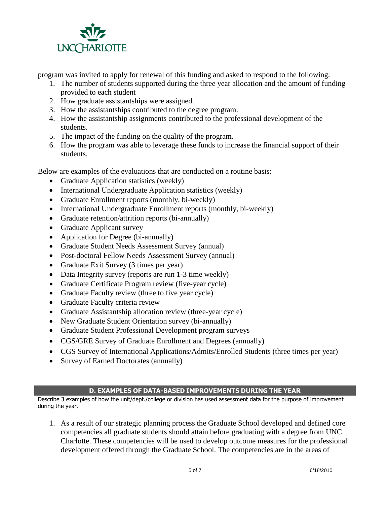

program was invited to apply for renewal of this funding and asked to respond to the following:

- 1. The number of students supported during the three year allocation and the amount of funding provided to each student
- 2. How graduate assistantships were assigned.
- 3. How the assistantships contributed to the degree program.
- 4. How the assistantship assignments contributed to the professional development of the students.
- 5. The impact of the funding on the quality of the program.
- 6. How the program was able to leverage these funds to increase the financial support of their students.

Below are examples of the evaluations that are conducted on a routine basis:

- Graduate Application statistics (weekly)
- International Undergraduate Application statistics (weekly)
- Graduate Enrollment reports (monthly, bi-weekly)
- International Undergraduate Enrollment reports (monthly, bi-weekly)
- Graduate retention/attrition reports (bi-annually)
- Graduate Applicant survey
- Application for Degree (bi-annually)
- Graduate Student Needs Assessment Survey (annual)
- Post-doctoral Fellow Needs Assessment Survey (annual)
- Graduate Exit Survey (3 times per year)
- Data Integrity survey (reports are run 1-3 time weekly)
- Graduate Certificate Program review (five-year cycle)
- Graduate Faculty review (three to five year cycle)
- Graduate Faculty criteria review
- Graduate Assistantship allocation review (three-year cycle)
- New Graduate Student Orientation survey (bi-annually)
- Graduate Student Professional Development program surveys
- CGS/GRE Survey of Graduate Enrollment and Degrees (annually)
- CGS Survey of International Applications/Admits/Enrolled Students (three times per year)
- Survey of Earned Doctorates (annually)

## **D. EXAMPLES OF DATA-BASED IMPROVEMENTS DURING THE YEAR**

Describe 3 examples of how the unit/dept./college or division has used assessment data for the purpose of improvement during the year.

1. As a result of our strategic planning process the Graduate School developed and defined core competencies all graduate students should attain before graduating with a degree from UNC Charlotte. These competencies will be used to develop outcome measures for the professional development offered through the Graduate School. The competencies are in the areas of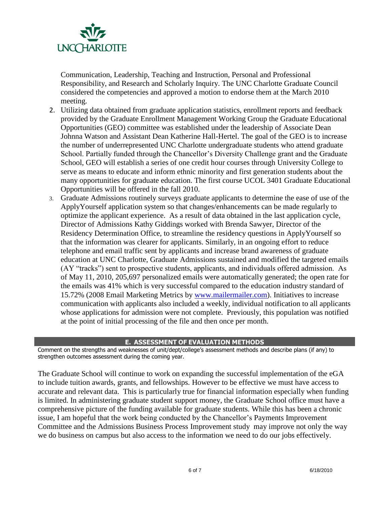

Communication, Leadership, Teaching and Instruction, Personal and Professional Responsibility, and Research and Scholarly Inquiry. The UNC Charlotte Graduate Council considered the competencies and approved a motion to endorse them at the March 2010 meeting.

- 2. Utilizing data obtained from graduate application statistics, enrollment reports and feedback provided by the Graduate Enrollment Management Working Group the Graduate Educational Opportunities (GEO) committee was established under the leadership of Associate Dean Johnna Watson and Assistant Dean Katherine Hall-Hertel. The goal of the GEO is to increase the number of underrepresented UNC Charlotte undergraduate students who attend graduate School. Partially funded through the Chancellor's Diversity Challenge grant and the Graduate School, GEO will establish a series of one credit hour courses through University College to serve as means to educate and inform ethnic minority and first generation students about the many opportunities for graduate education. The first course UCOL 3401 Graduate Educational Opportunities will be offered in the fall 2010.
- 3. Graduate Admissions routinely surveys graduate applicants to determine the ease of use of the ApplyYourself application system so that changes/enhancements can be made regularly to optimize the applicant experience. As a result of data obtained in the last application cycle, Director of Admissions Kathy Giddings worked with Brenda Sawyer, Director of the Residency Determination Office, to streamline the residency questions in ApplyYourself so that the information was clearer for applicants. Similarly, in an ongoing effort to reduce telephone and email traffic sent by applicants and increase brand awareness of graduate education at UNC Charlotte, Graduate Admissions sustained and modified the targeted emails (AY "tracks") sent to prospective students, applicants, and individuals offered admission. As of May 11, 2010, 205,697 personalized emails were automatically generated; the open rate for the emails was 41% which is very successful compared to the education industry standard of 15.72% (2008 Email Marketing Metrics by [www.mailermailer.com\)](http://www.mailermailer.com/). Initiatives to increase communication with applicants also included a weekly, individual notification to all applicants whose applications for admission were not complete. Previously, this population was notified at the point of initial processing of the file and then once per month.

#### **E. ASSESSMENT OF EVALUATION METHODS**

Comment on the strengths and weaknesses of unit/dept/college's assessment methods and describe plans (if any) to strengthen outcomes assessment during the coming year.

The Graduate School will continue to work on expanding the successful implementation of the eGA to include tuition awards, grants, and fellowships. However to be effective we must have access to accurate and relevant data. This is particularly true for financial information especially when funding is limited. In administering graduate student support money, the Graduate School office must have a comprehensive picture of the funding available for graduate students. While this has been a chronic issue, I am hopeful that the work being conducted by the Chancellor"s Payments Improvement Committee and the Admissions Business Process Improvement study may improve not only the way we do business on campus but also access to the information we need to do our jobs effectively.